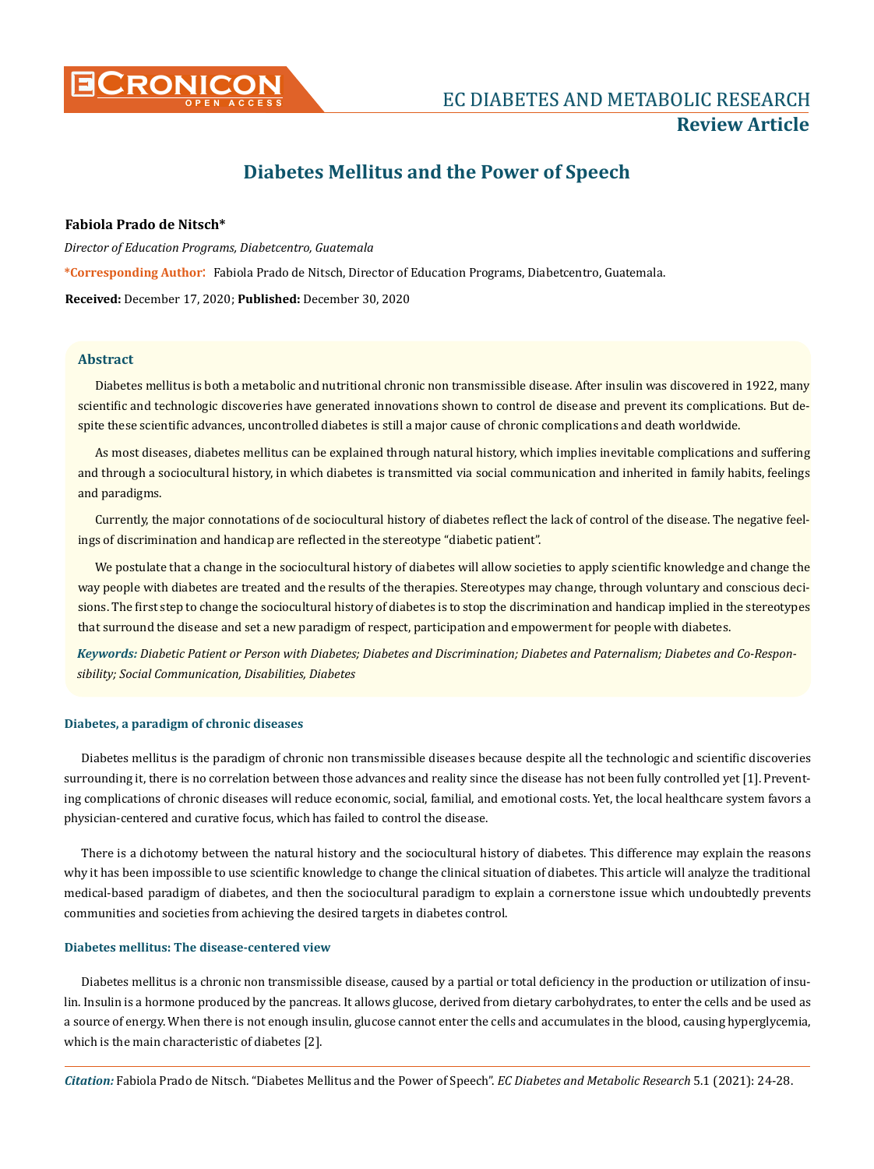

# **Review Article**

# **Diabetes Mellitus and the Power of Speech**

# **Fabiola Prado de Nitsch\***

*Director of Education Programs, Diabetcentro, Guatemala* **\*Corresponding Author**: Fabiola Prado de Nitsch, Director of Education Programs, Diabetcentro, Guatemala. **Received:** December 17, 2020; **Published:** December 30, 2020

# **Abstract**

Diabetes mellitus is both a metabolic and nutritional chronic non transmissible disease. After insulin was discovered in 1922, many scientific and technologic discoveries have generated innovations shown to control de disease and prevent its complications. But despite these scientific advances, uncontrolled diabetes is still a major cause of chronic complications and death worldwide.

As most diseases, diabetes mellitus can be explained through natural history, which implies inevitable complications and suffering and through a sociocultural history, in which diabetes is transmitted via social communication and inherited in family habits, feelings and paradigms.

Currently, the major connotations of de sociocultural history of diabetes reflect the lack of control of the disease. The negative feelings of discrimination and handicap are reflected in the stereotype "diabetic patient".

We postulate that a change in the sociocultural history of diabetes will allow societies to apply scientific knowledge and change the way people with diabetes are treated and the results of the therapies. Stereotypes may change, through voluntary and conscious decisions. The first step to change the sociocultural history of diabetes is to stop the discrimination and handicap implied in the stereotypes that surround the disease and set a new paradigm of respect, participation and empowerment for people with diabetes.

*Keywords: Diabetic Patient or Person with Diabetes; Diabetes and Discrimination; Diabetes and Paternalism; Diabetes and Co-Responsibility; Social Communication, Disabilities, Diabetes*

#### **Diabetes, a paradigm of chronic diseases**

Diabetes mellitus is the paradigm of chronic non transmissible diseases because despite all the technologic and scientific discoveries surrounding it, there is no correlation between those advances and reality since the disease has not been fully controlled yet [1]. Preventing complications of chronic diseases will reduce economic, social, familial, and emotional costs. Yet, the local healthcare system favors a physician-centered and curative focus, which has failed to control the disease.

There is a dichotomy between the natural history and the sociocultural history of diabetes. This difference may explain the reasons why it has been impossible to use scientific knowledge to change the clinical situation of diabetes. This article will analyze the traditional medical-based paradigm of diabetes, and then the sociocultural paradigm to explain a cornerstone issue which undoubtedly prevents communities and societies from achieving the desired targets in diabetes control.

# **Diabetes mellitus: The disease-centered view**

Diabetes mellitus is a chronic non transmissible disease, caused by a partial or total deficiency in the production or utilization of insulin. Insulin is a hormone produced by the pancreas. It allows glucose, derived from dietary carbohydrates, to enter the cells and be used as a source of energy. When there is not enough insulin, glucose cannot enter the cells and accumulates in the blood, causing hyperglycemia, which is the main characteristic of diabetes [2].

*Citation:* Fabiola Prado de Nitsch. "Diabetes Mellitus and the Power of Speech". *EC Diabetes and Metabolic Research* 5.1 (2021): 24-28.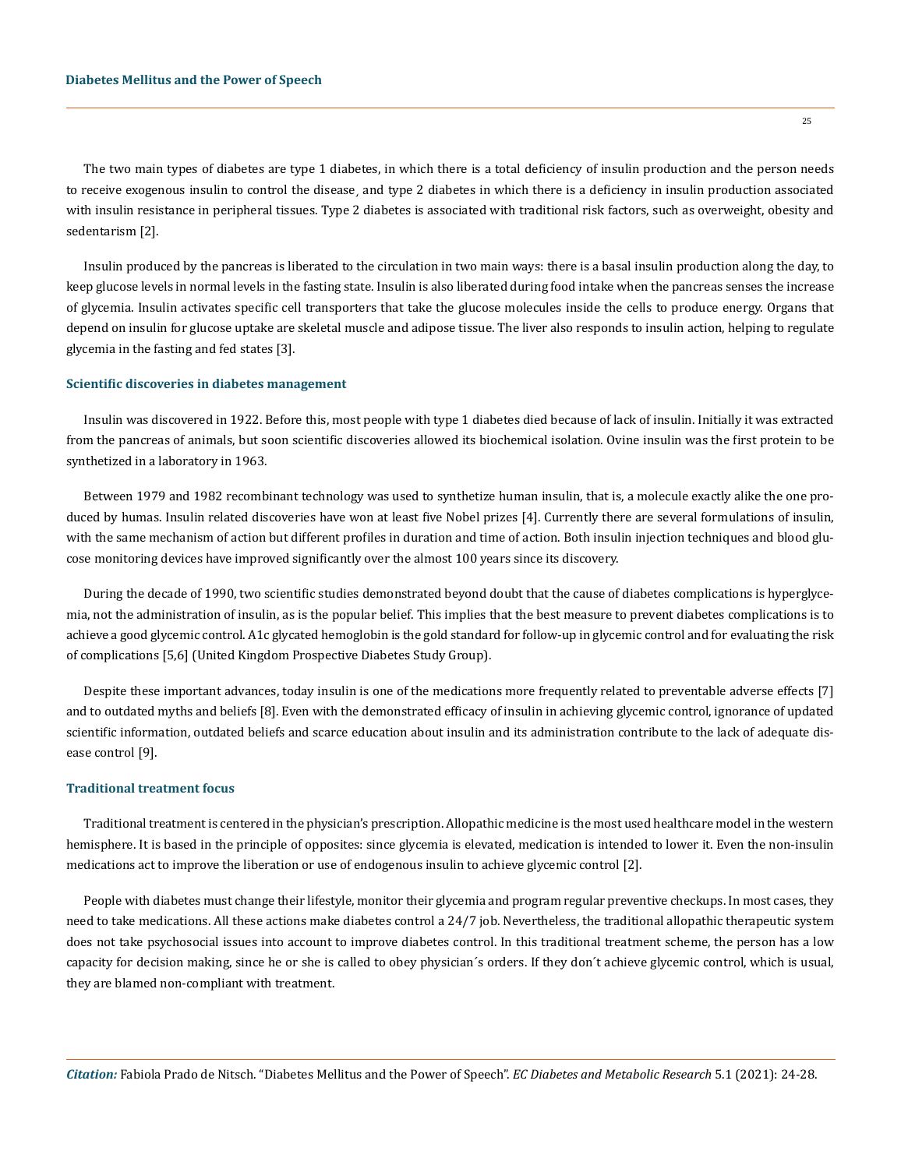The two main types of diabetes are type 1 diabetes, in which there is a total deficiency of insulin production and the person needs to receive exogenous insulin to control the disease, and type 2 diabetes in which there is a deficiency in insulin production associated with insulin resistance in peripheral tissues. Type 2 diabetes is associated with traditional risk factors, such as overweight, obesity and sedentarism [2].

Insulin produced by the pancreas is liberated to the circulation in two main ways: there is a basal insulin production along the day, to keep glucose levels in normal levels in the fasting state. Insulin is also liberated during food intake when the pancreas senses the increase of glycemia. Insulin activates specific cell transporters that take the glucose molecules inside the cells to produce energy. Organs that depend on insulin for glucose uptake are skeletal muscle and adipose tissue. The liver also responds to insulin action, helping to regulate glycemia in the fasting and fed states [3].

#### **Scientific discoveries in diabetes management**

Insulin was discovered in 1922. Before this, most people with type 1 diabetes died because of lack of insulin. Initially it was extracted from the pancreas of animals, but soon scientific discoveries allowed its biochemical isolation. Ovine insulin was the first protein to be synthetized in a laboratory in 1963.

Between 1979 and 1982 recombinant technology was used to synthetize human insulin, that is, a molecule exactly alike the one produced by humas. Insulin related discoveries have won at least five Nobel prizes [4]. Currently there are several formulations of insulin, with the same mechanism of action but different profiles in duration and time of action. Both insulin injection techniques and blood glucose monitoring devices have improved significantly over the almost 100 years since its discovery.

During the decade of 1990, two scientific studies demonstrated beyond doubt that the cause of diabetes complications is hyperglycemia, not the administration of insulin, as is the popular belief. This implies that the best measure to prevent diabetes complications is to achieve a good glycemic control. A1c glycated hemoglobin is the gold standard for follow-up in glycemic control and for evaluating the risk of complications [5,6] (United Kingdom Prospective Diabetes Study Group).

Despite these important advances, today insulin is one of the medications more frequently related to preventable adverse effects [7] and to outdated myths and beliefs [8]. Even with the demonstrated efficacy of insulin in achieving glycemic control, ignorance of updated scientific information, outdated beliefs and scarce education about insulin and its administration contribute to the lack of adequate disease control [9].

## **Traditional treatment focus**

Traditional treatment is centered in the physician's prescription. Allopathic medicine is the most used healthcare model in the western hemisphere. It is based in the principle of opposites: since glycemia is elevated, medication is intended to lower it. Even the non-insulin medications act to improve the liberation or use of endogenous insulin to achieve glycemic control [2].

People with diabetes must change their lifestyle, monitor their glycemia and program regular preventive checkups. In most cases, they need to take medications. All these actions make diabetes control a 24/7 job. Nevertheless, the traditional allopathic therapeutic system does not take psychosocial issues into account to improve diabetes control. In this traditional treatment scheme, the person has a low capacity for decision making, since he or she is called to obey physician´s orders. If they don´t achieve glycemic control, which is usual, they are blamed non-compliant with treatment.

*Citation:* Fabiola Prado de Nitsch. "Diabetes Mellitus and the Power of Speech". *EC Diabetes and Metabolic Research* 5.1 (2021): 24-28.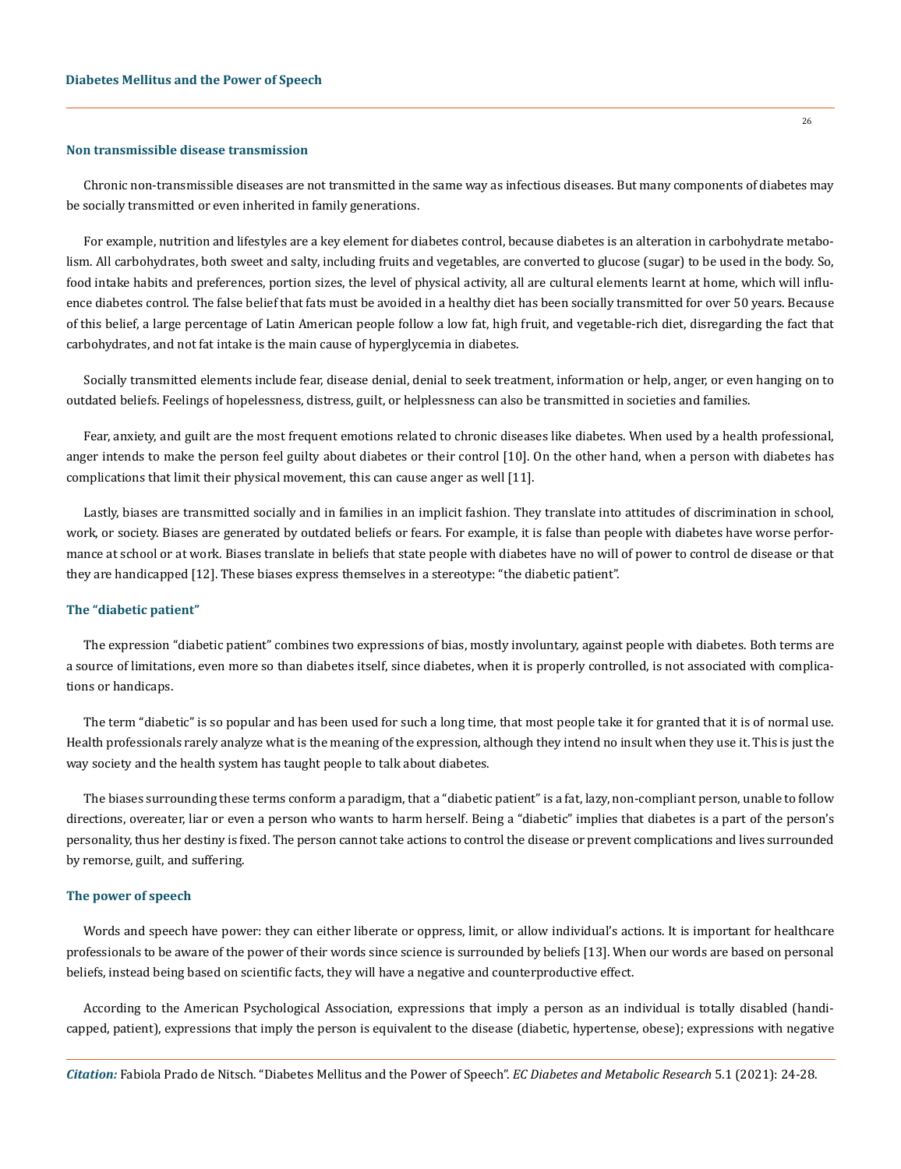#### **Non transmissible disease transmission**

Chronic non-transmissible diseases are not transmitted in the same way as infectious diseases. But many components of diabetes may be socially transmitted or even inherited in family generations.

For example, nutrition and lifestyles are a key element for diabetes control, because diabetes is an alteration in carbohydrate metabolism. All carbohydrates, both sweet and salty, including fruits and vegetables, are converted to glucose (sugar) to be used in the body. So, food intake habits and preferences, portion sizes, the level of physical activity, all are cultural elements learnt at home, which will influence diabetes control. The false belief that fats must be avoided in a healthy diet has been socially transmitted for over 50 years. Because of this belief, a large percentage of Latin American people follow a low fat, high fruit, and vegetable-rich diet, disregarding the fact that carbohydrates, and not fat intake is the main cause of hyperglycemia in diabetes.

Socially transmitted elements include fear, disease denial, denial to seek treatment, information or help, anger, or even hanging on to outdated beliefs. Feelings of hopelessness, distress, guilt, or helplessness can also be transmitted in societies and families.

Fear, anxiety, and guilt are the most frequent emotions related to chronic diseases like diabetes. When used by a health professional, anger intends to make the person feel guilty about diabetes or their control [10]. On the other hand, when a person with diabetes has complications that limit their physical movement, this can cause anger as well [11].

Lastly, biases are transmitted socially and in families in an implicit fashion. They translate into attitudes of discrimination in school, work, or society. Biases are generated by outdated beliefs or fears. For example, it is false than people with diabetes have worse performance at school or at work. Biases translate in beliefs that state people with diabetes have no will of power to control de disease or that they are handicapped [12]. These biases express themselves in a stereotype: "the diabetic patient".

#### **The "diabetic patient"**

The expression "diabetic patient" combines two expressions of bias, mostly involuntary, against people with diabetes. Both terms are a source of limitations, even more so than diabetes itself, since diabetes, when it is properly controlled, is not associated with complications or handicaps.

The term "diabetic" is so popular and has been used for such a long time, that most people take it for granted that it is of normal use. Health professionals rarely analyze what is the meaning of the expression, although they intend no insult when they use it. This is just the way society and the health system has taught people to talk about diabetes.

The biases surrounding these terms conform a paradigm, that a "diabetic patient" is a fat, lazy, non-compliant person, unable to follow directions, overeater, liar or even a person who wants to harm herself. Being a "diabetic" implies that diabetes is a part of the person's personality, thus her destiny is fixed. The person cannot take actions to control the disease or prevent complications and lives surrounded by remorse, guilt, and suffering.

#### **The power of speech**

Words and speech have power: they can either liberate or oppress, limit, or allow individual's actions. It is important for healthcare professionals to be aware of the power of their words since science is surrounded by beliefs [13]. When our words are based on personal beliefs, instead being based on scientific facts, they will have a negative and counterproductive effect.

According to the American Psychological Association, expressions that imply a person as an individual is totally disabled (handicapped, patient), expressions that imply the person is equivalent to the disease (diabetic, hypertense, obese); expressions with negative

*Citation:* Fabiola Prado de Nitsch. "Diabetes Mellitus and the Power of Speech". *EC Diabetes and Metabolic Research* 5.1 (2021): 24-28.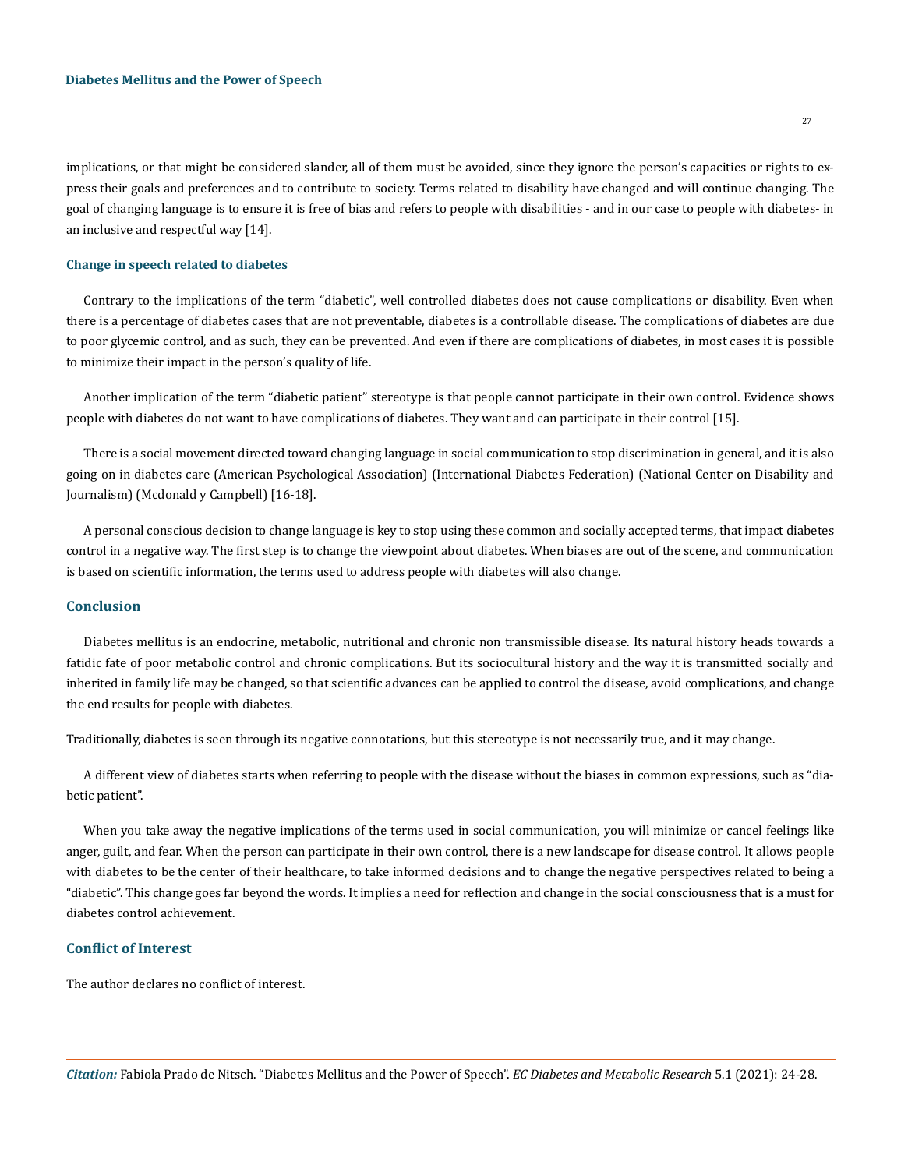implications, or that might be considered slander, all of them must be avoided, since they ignore the person's capacities or rights to express their goals and preferences and to contribute to society. Terms related to disability have changed and will continue changing. The goal of changing language is to ensure it is free of bias and refers to people with disabilities - and in our case to people with diabetes- in an inclusive and respectful way [14].

#### **Change in speech related to diabetes**

Contrary to the implications of the term "diabetic", well controlled diabetes does not cause complications or disability. Even when there is a percentage of diabetes cases that are not preventable, diabetes is a controllable disease. The complications of diabetes are due to poor glycemic control, and as such, they can be prevented. And even if there are complications of diabetes, in most cases it is possible to minimize their impact in the person's quality of life.

Another implication of the term "diabetic patient" stereotype is that people cannot participate in their own control. Evidence shows people with diabetes do not want to have complications of diabetes. They want and can participate in their control [15].

There is a social movement directed toward changing language in social communication to stop discrimination in general, and it is also going on in diabetes care (American Psychological Association) (International Diabetes Federation) (National Center on Disability and Journalism) (Mcdonald y Campbell) [16-18].

A personal conscious decision to change language is key to stop using these common and socially accepted terms, that impact diabetes control in a negative way. The first step is to change the viewpoint about diabetes. When biases are out of the scene, and communication is based on scientific information, the terms used to address people with diabetes will also change.

# **Conclusion**

Diabetes mellitus is an endocrine, metabolic, nutritional and chronic non transmissible disease. Its natural history heads towards a fatidic fate of poor metabolic control and chronic complications. But its sociocultural history and the way it is transmitted socially and inherited in family life may be changed, so that scientific advances can be applied to control the disease, avoid complications, and change the end results for people with diabetes.

Traditionally, diabetes is seen through its negative connotations, but this stereotype is not necessarily true, and it may change.

A different view of diabetes starts when referring to people with the disease without the biases in common expressions, such as "diabetic patient".

When you take away the negative implications of the terms used in social communication, you will minimize or cancel feelings like anger, guilt, and fear. When the person can participate in their own control, there is a new landscape for disease control. It allows people with diabetes to be the center of their healthcare, to take informed decisions and to change the negative perspectives related to being a "diabetic". This change goes far beyond the words. It implies a need for reflection and change in the social consciousness that is a must for diabetes control achievement.

# **Conflict of Interest**

The author declares no conflict of interest.